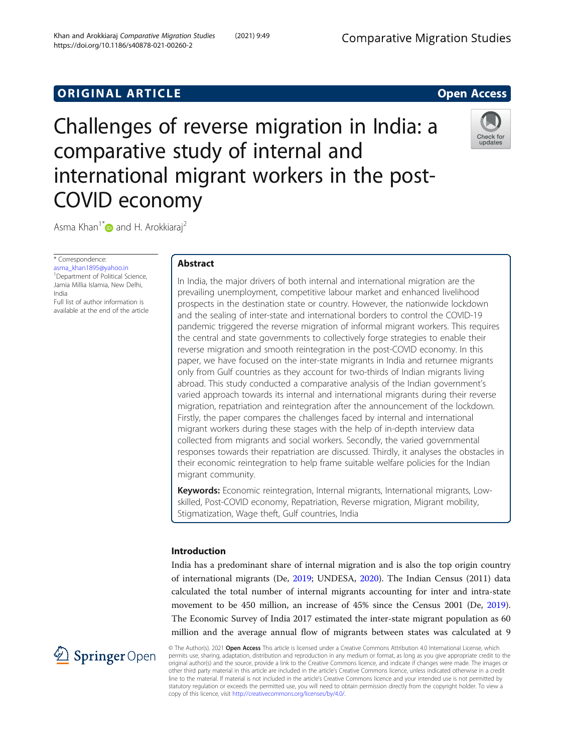# **ORIGINAL ARTICLE CONSERVANCE IN A LOCAL CONSERVANCE IN A LOCAL CONSERVANCE IN A LOCAL CONSERVANCE IN A LOCAL CONSERVANCE IN A LOCAL CONSERVANCE IN A LOCAL CONSERVANCE IN A LOCAL CONSERVANCE IN A LOCAL CONSERVANCE IN A L**

Challenges of reverse migration in India: a comparative study of internal and international migrant workers in the post-COVID economy



Asma Khan<sup>1\*</sup> and H. Arokkiaraj<sup>2</sup>

\* Correspondence:

[asma\\_khan1895@yahoo.in](mailto:asma_khan1895@yahoo.in) <sup>1</sup>Department of Political Science, Jamia Millia Islamia, New Delhi, India

Full list of author information is available at the end of the article

# Abstract

In India, the major drivers of both internal and international migration are the prevailing unemployment, competitive labour market and enhanced livelihood prospects in the destination state or country. However, the nationwide lockdown and the sealing of inter-state and international borders to control the COVID-19 pandemic triggered the reverse migration of informal migrant workers. This requires the central and state governments to collectively forge strategies to enable their reverse migration and smooth reintegration in the post-COVID economy. In this paper, we have focused on the inter-state migrants in India and returnee migrants only from Gulf countries as they account for two-thirds of Indian migrants living abroad. This study conducted a comparative analysis of the Indian government's varied approach towards its internal and international migrants during their reverse migration, repatriation and reintegration after the announcement of the lockdown. Firstly, the paper compares the challenges faced by internal and international migrant workers during these stages with the help of in-depth interview data collected from migrants and social workers. Secondly, the varied governmental responses towards their repatriation are discussed. Thirdly, it analyses the obstacles in their economic reintegration to help frame suitable welfare policies for the Indian migrant community.

Keywords: Economic reintegration, Internal migrants, International migrants, Lowskilled, Post-COVID economy, Repatriation, Reverse migration, Migrant mobility, Stigmatization, Wage theft, Gulf countries, India

# Introduction

India has a predominant share of internal migration and is also the top origin country of international migrants (De, [2019](#page-16-0); UNDESA, [2020](#page-18-0)). The Indian Census (2011) data calculated the total number of internal migrants accounting for inter and intra-state movement to be 450 million, an increase of 45% since the Census 2001 (De, [2019](#page-16-0)). The Economic Survey of India 2017 estimated the inter-state migrant population as 60 million and the average annual flow of migrants between states was calculated at 9



© The Author(s). 2021 Open Access This article is licensed under a Creative Commons Attribution 4.0 International License, which permits use, sharing, adaptation, distribution and reproduction in any medium or format, as long as you give appropriate credit to the original author(s) and the source, provide a link to the Creative Commons licence, and indicate if changes were made. The images or other third party material in this article are included in the article's Creative Commons licence, unless indicated otherwise in a credit line to the material. If material is not included in the article's Creative Commons licence and your intended use is not permitted by statutory regulation or exceeds the permitted use, you will need to obtain permission directly from the copyright holder. To view a copy of this licence, visit <http://creativecommons.org/licenses/by/4.0/>.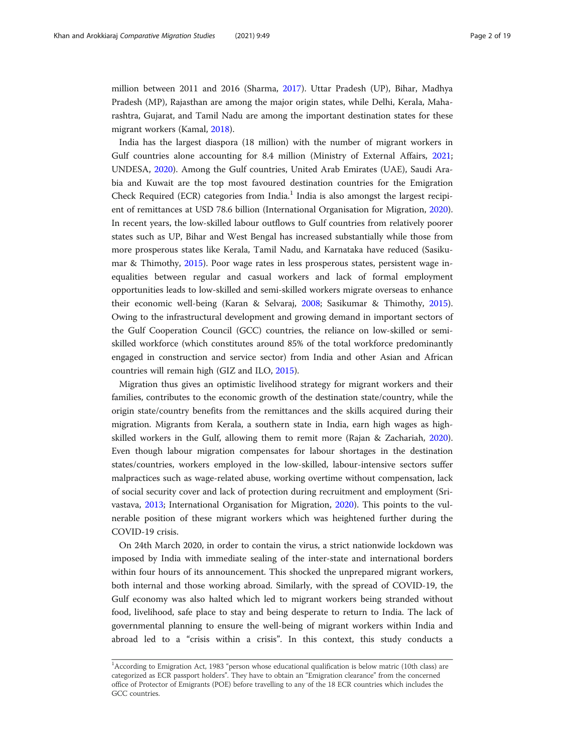million between 2011 and 2016 (Sharma, [2017\)](#page-17-0). Uttar Pradesh (UP), Bihar, Madhya Pradesh (MP), Rajasthan are among the major origin states, while Delhi, Kerala, Maharashtra, Gujarat, and Tamil Nadu are among the important destination states for these migrant workers (Kamal, [2018](#page-16-0)).

India has the largest diaspora (18 million) with the number of migrant workers in Gulf countries alone accounting for 8.4 million (Ministry of External Affairs, [2021](#page-17-0); UNDESA, [2020](#page-18-0)). Among the Gulf countries, United Arab Emirates (UAE), Saudi Arabia and Kuwait are the top most favoured destination countries for the Emigration Check Required (ECR) categories from India.<sup>1</sup> India is also amongst the largest recipient of remittances at USD 78.6 billion (International Organisation for Migration, [2020](#page-16-0)). In recent years, the low-skilled labour outflows to Gulf countries from relatively poorer states such as UP, Bihar and West Bengal has increased substantially while those from more prosperous states like Kerala, Tamil Nadu, and Karnataka have reduced (Sasikumar & Thimothy, [2015\)](#page-17-0). Poor wage rates in less prosperous states, persistent wage inequalities between regular and casual workers and lack of formal employment opportunities leads to low-skilled and semi-skilled workers migrate overseas to enhance their economic well-being (Karan & Selvaraj, [2008;](#page-16-0) Sasikumar & Thimothy, [2015](#page-17-0)). Owing to the infrastructural development and growing demand in important sectors of the Gulf Cooperation Council (GCC) countries, the reliance on low-skilled or semiskilled workforce (which constitutes around 85% of the total workforce predominantly engaged in construction and service sector) from India and other Asian and African countries will remain high (GIZ and ILO, [2015](#page-16-0)).

Migration thus gives an optimistic livelihood strategy for migrant workers and their families, contributes to the economic growth of the destination state/country, while the origin state/country benefits from the remittances and the skills acquired during their migration. Migrants from Kerala, a southern state in India, earn high wages as highskilled workers in the Gulf, allowing them to remit more (Rajan & Zachariah, [2020](#page-17-0)). Even though labour migration compensates for labour shortages in the destination states/countries, workers employed in the low-skilled, labour-intensive sectors suffer malpractices such as wage-related abuse, working overtime without compensation, lack of social security cover and lack of protection during recruitment and employment (Srivastava, [2013](#page-18-0); International Organisation for Migration, [2020](#page-16-0)). This points to the vulnerable position of these migrant workers which was heightened further during the COVID-19 crisis.

On 24th March 2020, in order to contain the virus, a strict nationwide lockdown was imposed by India with immediate sealing of the inter-state and international borders within four hours of its announcement. This shocked the unprepared migrant workers, both internal and those working abroad. Similarly, with the spread of COVID-19, the Gulf economy was also halted which led to migrant workers being stranded without food, livelihood, safe place to stay and being desperate to return to India. The lack of governmental planning to ensure the well-being of migrant workers within India and abroad led to a "crisis within a crisis". In this context, this study conducts a

<sup>&</sup>lt;sup>1</sup> According to Emigration Act, 1983 "person whose educational qualification is below matric (10th class) are categorized as ECR passport holders". They have to obtain an "Emigration clearance" from the concerned office of Protector of Emigrants (POE) before travelling to any of the 18 ECR countries which includes the GCC countries.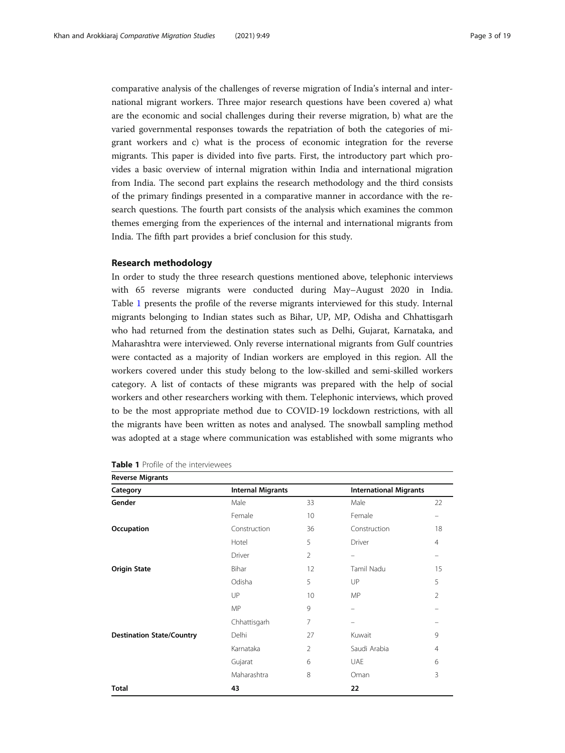comparative analysis of the challenges of reverse migration of India's internal and international migrant workers. Three major research questions have been covered a) what are the economic and social challenges during their reverse migration, b) what are the varied governmental responses towards the repatriation of both the categories of migrant workers and c) what is the process of economic integration for the reverse migrants. This paper is divided into five parts. First, the introductory part which provides a basic overview of internal migration within India and international migration from India. The second part explains the research methodology and the third consists of the primary findings presented in a comparative manner in accordance with the research questions. The fourth part consists of the analysis which examines the common themes emerging from the experiences of the internal and international migrants from India. The fifth part provides a brief conclusion for this study.

### Research methodology

In order to study the three research questions mentioned above, telephonic interviews with 65 reverse migrants were conducted during May–August 2020 in India. Table 1 presents the profile of the reverse migrants interviewed for this study. Internal migrants belonging to Indian states such as Bihar, UP, MP, Odisha and Chhattisgarh who had returned from the destination states such as Delhi, Gujarat, Karnataka, and Maharashtra were interviewed. Only reverse international migrants from Gulf countries were contacted as a majority of Indian workers are employed in this region. All the workers covered under this study belong to the low-skilled and semi-skilled workers category. A list of contacts of these migrants was prepared with the help of social workers and other researchers working with them. Telephonic interviews, which proved to be the most appropriate method due to COVID-19 lockdown restrictions, with all the migrants have been written as notes and analysed. The snowball sampling method was adopted at a stage where communication was established with some migrants who

| <b>Reverse Migrants</b>          |                          |                |                               |                |  |
|----------------------------------|--------------------------|----------------|-------------------------------|----------------|--|
| Category                         | <b>Internal Migrants</b> |                | <b>International Migrants</b> |                |  |
| Gender                           | Male                     | 33             | Male                          | 22             |  |
|                                  | Female                   | 10             | Female                        |                |  |
| Occupation                       | Construction             | 36             | Construction                  | 18             |  |
|                                  | Hotel                    | 5              | Driver                        | $\overline{4}$ |  |
|                                  | Driver                   | $\overline{2}$ | $\equiv$                      | $\equiv$       |  |
| <b>Origin State</b>              | Bihar                    | 12             | Tamil Nadu                    | 15             |  |
|                                  | Odisha                   | 5              | UP                            | 5              |  |
|                                  | UP                       | 10             | <b>MP</b>                     | $\overline{2}$ |  |
|                                  | <b>MP</b>                | 9              |                               |                |  |
|                                  | Chhattisgarh             | 7              | -                             |                |  |
| <b>Destination State/Country</b> | Delhi                    | 27             | Kuwait                        | 9              |  |
|                                  | Karnataka                | $\overline{2}$ | Saudi Arabia                  | $\overline{4}$ |  |
|                                  | Gujarat                  | 6              | <b>UAE</b>                    | 6              |  |
|                                  | Maharashtra              | 8              | Oman                          | 3              |  |
| <b>Total</b>                     | 43                       |                | 22                            |                |  |

| <b>Table 1</b> Profile of the interviewees |  |
|--------------------------------------------|--|
|--------------------------------------------|--|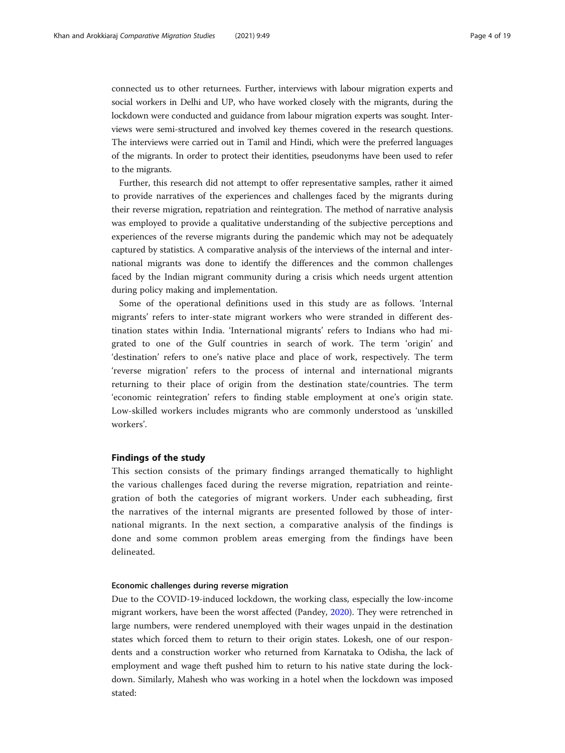connected us to other returnees. Further, interviews with labour migration experts and social workers in Delhi and UP, who have worked closely with the migrants, during the lockdown were conducted and guidance from labour migration experts was sought. Interviews were semi-structured and involved key themes covered in the research questions. The interviews were carried out in Tamil and Hindi, which were the preferred languages of the migrants. In order to protect their identities, pseudonyms have been used to refer to the migrants.

Further, this research did not attempt to offer representative samples, rather it aimed to provide narratives of the experiences and challenges faced by the migrants during their reverse migration, repatriation and reintegration. The method of narrative analysis was employed to provide a qualitative understanding of the subjective perceptions and experiences of the reverse migrants during the pandemic which may not be adequately captured by statistics. A comparative analysis of the interviews of the internal and international migrants was done to identify the differences and the common challenges faced by the Indian migrant community during a crisis which needs urgent attention during policy making and implementation.

Some of the operational definitions used in this study are as follows. 'Internal migrants' refers to inter-state migrant workers who were stranded in different destination states within India. 'International migrants' refers to Indians who had migrated to one of the Gulf countries in search of work. The term 'origin' and 'destination' refers to one's native place and place of work, respectively. The term 'reverse migration' refers to the process of internal and international migrants returning to their place of origin from the destination state/countries. The term 'economic reintegration' refers to finding stable employment at one's origin state. Low-skilled workers includes migrants who are commonly understood as 'unskilled workers'.

## Findings of the study

This section consists of the primary findings arranged thematically to highlight the various challenges faced during the reverse migration, repatriation and reintegration of both the categories of migrant workers. Under each subheading, first the narratives of the internal migrants are presented followed by those of international migrants. In the next section, a comparative analysis of the findings is done and some common problem areas emerging from the findings have been delineated.

## Economic challenges during reverse migration

Due to the COVID-19-induced lockdown, the working class, especially the low-income migrant workers, have been the worst affected (Pandey, [2020](#page-17-0)). They were retrenched in large numbers, were rendered unemployed with their wages unpaid in the destination states which forced them to return to their origin states. Lokesh, one of our respondents and a construction worker who returned from Karnataka to Odisha, the lack of employment and wage theft pushed him to return to his native state during the lockdown. Similarly, Mahesh who was working in a hotel when the lockdown was imposed stated: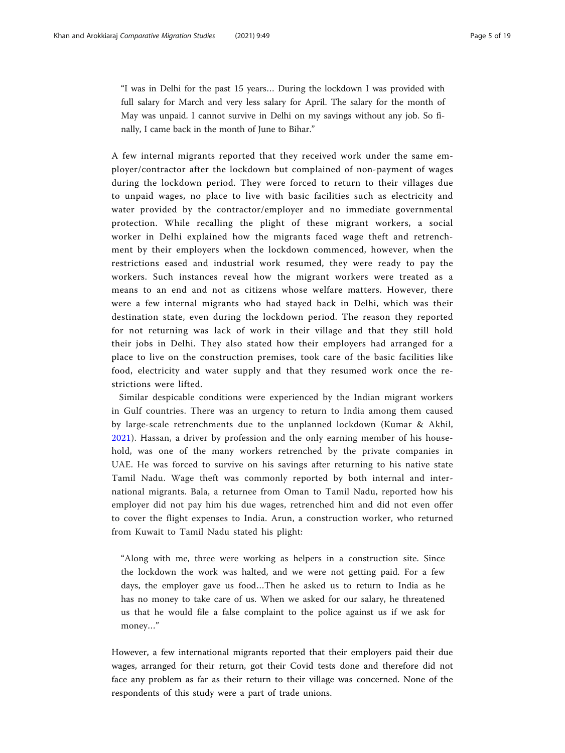"I was in Delhi for the past 15 years… During the lockdown I was provided with full salary for March and very less salary for April. The salary for the month of May was unpaid. I cannot survive in Delhi on my savings without any job. So finally, I came back in the month of June to Bihar."

A few internal migrants reported that they received work under the same employer/contractor after the lockdown but complained of non-payment of wages during the lockdown period. They were forced to return to their villages due to unpaid wages, no place to live with basic facilities such as electricity and water provided by the contractor/employer and no immediate governmental protection. While recalling the plight of these migrant workers, a social worker in Delhi explained how the migrants faced wage theft and retrenchment by their employers when the lockdown commenced, however, when the restrictions eased and industrial work resumed, they were ready to pay the workers. Such instances reveal how the migrant workers were treated as a means to an end and not as citizens whose welfare matters. However, there were a few internal migrants who had stayed back in Delhi, which was their destination state, even during the lockdown period. The reason they reported for not returning was lack of work in their village and that they still hold their jobs in Delhi. They also stated how their employers had arranged for a place to live on the construction premises, took care of the basic facilities like food, electricity and water supply and that they resumed work once the restrictions were lifted.

Similar despicable conditions were experienced by the Indian migrant workers in Gulf countries. There was an urgency to return to India among them caused by large-scale retrenchments due to the unplanned lockdown (Kumar & Akhil, [2021](#page-16-0)). Hassan, a driver by profession and the only earning member of his household, was one of the many workers retrenched by the private companies in UAE. He was forced to survive on his savings after returning to his native state Tamil Nadu. Wage theft was commonly reported by both internal and international migrants. Bala, a returnee from Oman to Tamil Nadu, reported how his employer did not pay him his due wages, retrenched him and did not even offer to cover the flight expenses to India. Arun, a construction worker, who returned from Kuwait to Tamil Nadu stated his plight:

"Along with me, three were working as helpers in a construction site. Since the lockdown the work was halted, and we were not getting paid. For a few days, the employer gave us food…Then he asked us to return to India as he has no money to take care of us. When we asked for our salary, he threatened us that he would file a false complaint to the police against us if we ask for money…"

However, a few international migrants reported that their employers paid their due wages, arranged for their return, got their Covid tests done and therefore did not face any problem as far as their return to their village was concerned. None of the respondents of this study were a part of trade unions.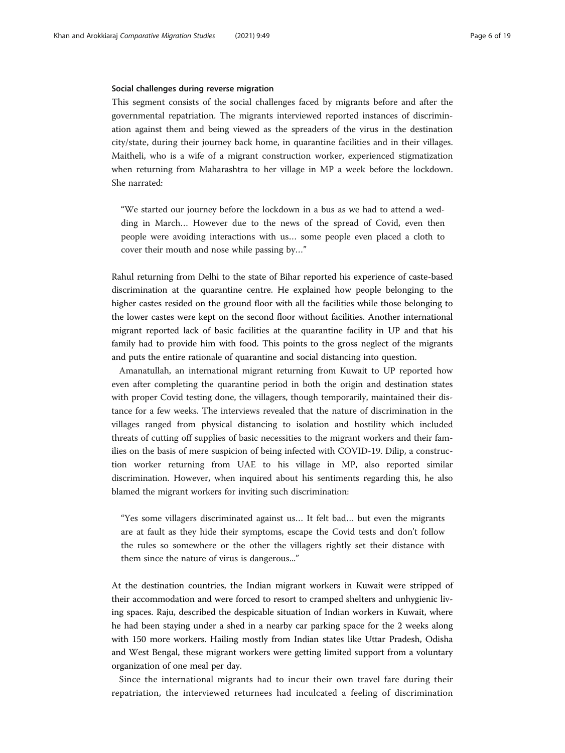#### Social challenges during reverse migration

This segment consists of the social challenges faced by migrants before and after the governmental repatriation. The migrants interviewed reported instances of discrimination against them and being viewed as the spreaders of the virus in the destination city/state, during their journey back home, in quarantine facilities and in their villages. Maitheli, who is a wife of a migrant construction worker, experienced stigmatization when returning from Maharashtra to her village in MP a week before the lockdown. She narrated:

"We started our journey before the lockdown in a bus as we had to attend a wedding in March… However due to the news of the spread of Covid, even then people were avoiding interactions with us… some people even placed a cloth to cover their mouth and nose while passing by…"

Rahul returning from Delhi to the state of Bihar reported his experience of caste-based discrimination at the quarantine centre. He explained how people belonging to the higher castes resided on the ground floor with all the facilities while those belonging to the lower castes were kept on the second floor without facilities. Another international migrant reported lack of basic facilities at the quarantine facility in UP and that his family had to provide him with food. This points to the gross neglect of the migrants and puts the entire rationale of quarantine and social distancing into question.

Amanatullah, an international migrant returning from Kuwait to UP reported how even after completing the quarantine period in both the origin and destination states with proper Covid testing done, the villagers, though temporarily, maintained their distance for a few weeks. The interviews revealed that the nature of discrimination in the villages ranged from physical distancing to isolation and hostility which included threats of cutting off supplies of basic necessities to the migrant workers and their families on the basis of mere suspicion of being infected with COVID-19. Dilip, a construction worker returning from UAE to his village in MP, also reported similar discrimination. However, when inquired about his sentiments regarding this, he also blamed the migrant workers for inviting such discrimination:

"Yes some villagers discriminated against us… It felt bad… but even the migrants are at fault as they hide their symptoms, escape the Covid tests and don't follow the rules so somewhere or the other the villagers rightly set their distance with them since the nature of virus is dangerous..."

At the destination countries, the Indian migrant workers in Kuwait were stripped of their accommodation and were forced to resort to cramped shelters and unhygienic living spaces. Raju, described the despicable situation of Indian workers in Kuwait, where he had been staying under a shed in a nearby car parking space for the 2 weeks along with 150 more workers. Hailing mostly from Indian states like Uttar Pradesh, Odisha and West Bengal, these migrant workers were getting limited support from a voluntary organization of one meal per day.

Since the international migrants had to incur their own travel fare during their repatriation, the interviewed returnees had inculcated a feeling of discrimination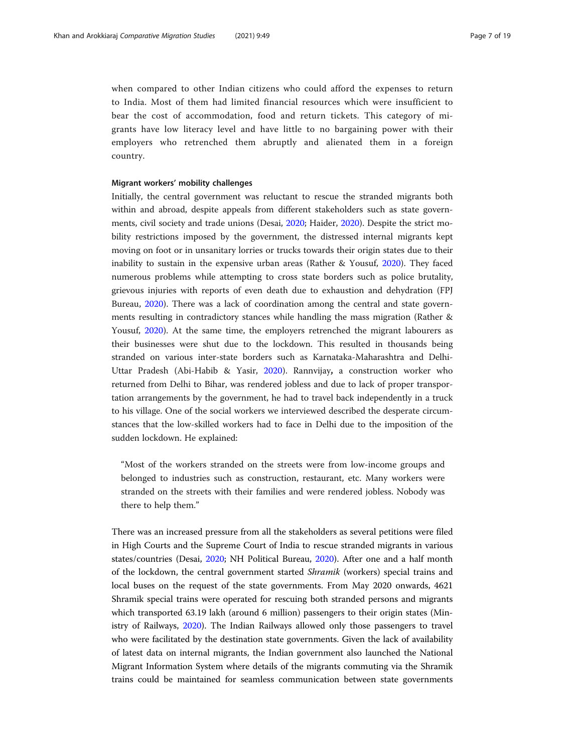when compared to other Indian citizens who could afford the expenses to return to India. Most of them had limited financial resources which were insufficient to bear the cost of accommodation, food and return tickets. This category of migrants have low literacy level and have little to no bargaining power with their employers who retrenched them abruptly and alienated them in a foreign country.

#### Migrant workers' mobility challenges

Initially, the central government was reluctant to rescue the stranded migrants both within and abroad, despite appeals from different stakeholders such as state governments, civil society and trade unions (Desai, [2020](#page-16-0); Haider, [2020\)](#page-16-0). Despite the strict mobility restrictions imposed by the government, the distressed internal migrants kept moving on foot or in unsanitary lorries or trucks towards their origin states due to their inability to sustain in the expensive urban areas (Rather & Yousuf, [2020\)](#page-17-0). They faced numerous problems while attempting to cross state borders such as police brutality, grievous injuries with reports of even death due to exhaustion and dehydration (FPJ Bureau, [2020](#page-16-0)). There was a lack of coordination among the central and state governments resulting in contradictory stances while handling the mass migration (Rather & Yousuf, [2020](#page-17-0)). At the same time, the employers retrenched the migrant labourers as their businesses were shut due to the lockdown. This resulted in thousands being stranded on various inter-state borders such as Karnataka-Maharashtra and Delhi-Uttar Pradesh (Abi-Habib & Yasir, [2020\)](#page-16-0). Rannvijay, a construction worker who returned from Delhi to Bihar, was rendered jobless and due to lack of proper transportation arrangements by the government, he had to travel back independently in a truck to his village. One of the social workers we interviewed described the desperate circumstances that the low-skilled workers had to face in Delhi due to the imposition of the sudden lockdown. He explained:

"Most of the workers stranded on the streets were from low-income groups and belonged to industries such as construction, restaurant, etc. Many workers were stranded on the streets with their families and were rendered jobless. Nobody was there to help them."

There was an increased pressure from all the stakeholders as several petitions were filed in High Courts and the Supreme Court of India to rescue stranded migrants in various states/countries (Desai, [2020](#page-16-0); NH Political Bureau, [2020](#page-17-0)). After one and a half month of the lockdown, the central government started Shramik (workers) special trains and local buses on the request of the state governments. From May 2020 onwards, 4621 Shramik special trains were operated for rescuing both stranded persons and migrants which transported 63.19 lakh (around 6 million) passengers to their origin states (Ministry of Railways, [2020](#page-17-0)). The Indian Railways allowed only those passengers to travel who were facilitated by the destination state governments. Given the lack of availability of latest data on internal migrants, the Indian government also launched the National Migrant Information System where details of the migrants commuting via the Shramik trains could be maintained for seamless communication between state governments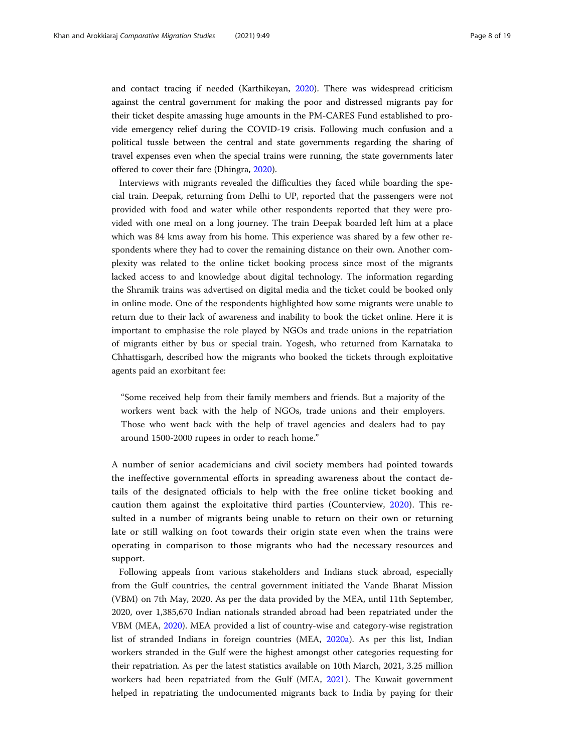and contact tracing if needed (Karthikeyan, [2020](#page-16-0)). There was widespread criticism against the central government for making the poor and distressed migrants pay for their ticket despite amassing huge amounts in the PM-CARES Fund established to provide emergency relief during the COVID-19 crisis. Following much confusion and a political tussle between the central and state governments regarding the sharing of travel expenses even when the special trains were running, the state governments later offered to cover their fare (Dhingra, [2020\)](#page-16-0).

Interviews with migrants revealed the difficulties they faced while boarding the special train. Deepak, returning from Delhi to UP, reported that the passengers were not provided with food and water while other respondents reported that they were provided with one meal on a long journey. The train Deepak boarded left him at a place which was 84 kms away from his home. This experience was shared by a few other respondents where they had to cover the remaining distance on their own. Another complexity was related to the online ticket booking process since most of the migrants lacked access to and knowledge about digital technology. The information regarding the Shramik trains was advertised on digital media and the ticket could be booked only in online mode. One of the respondents highlighted how some migrants were unable to return due to their lack of awareness and inability to book the ticket online. Here it is important to emphasise the role played by NGOs and trade unions in the repatriation of migrants either by bus or special train. Yogesh, who returned from Karnataka to Chhattisgarh, described how the migrants who booked the tickets through exploitative agents paid an exorbitant fee:

"Some received help from their family members and friends. But a majority of the workers went back with the help of NGOs, trade unions and their employers. Those who went back with the help of travel agencies and dealers had to pay around 1500-2000 rupees in order to reach home."

A number of senior academicians and civil society members had pointed towards the ineffective governmental efforts in spreading awareness about the contact details of the designated officials to help with the free online ticket booking and caution them against the exploitative third parties (Counterview, [2020](#page-16-0)). This resulted in a number of migrants being unable to return on their own or returning late or still walking on foot towards their origin state even when the trains were operating in comparison to those migrants who had the necessary resources and support.

Following appeals from various stakeholders and Indians stuck abroad, especially from the Gulf countries, the central government initiated the Vande Bharat Mission (VBM) on 7th May, 2020. As per the data provided by the MEA, until 11th September, 2020, over 1,385,670 Indian nationals stranded abroad had been repatriated under the VBM (MEA, [2020](#page-17-0)). MEA provided a list of country-wise and category-wise registration list of stranded Indians in foreign countries (MEA, [2020a](#page-17-0)). As per this list, Indian workers stranded in the Gulf were the highest amongst other categories requesting for their repatriation. As per the latest statistics available on 10th March, 2021, 3.25 million workers had been repatriated from the Gulf (MEA, [2021\)](#page-17-0). The Kuwait government helped in repatriating the undocumented migrants back to India by paying for their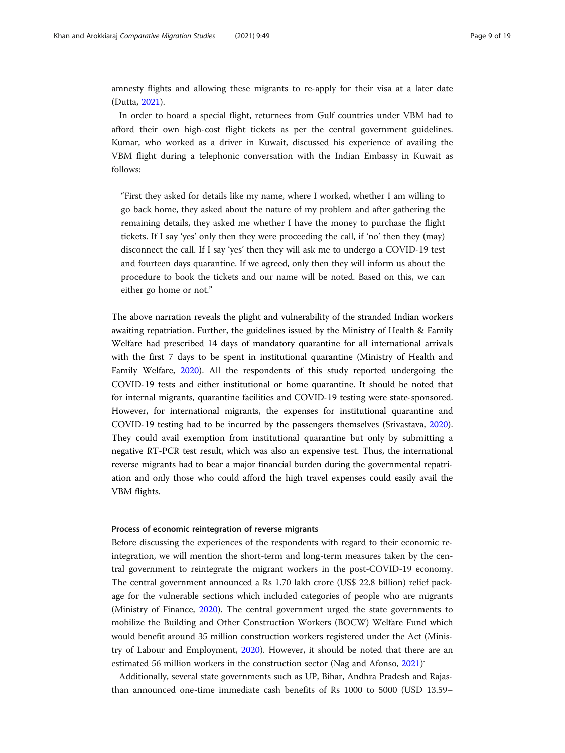amnesty flights and allowing these migrants to re-apply for their visa at a later date (Dutta, [2021\)](#page-16-0).

In order to board a special flight, returnees from Gulf countries under VBM had to afford their own high-cost flight tickets as per the central government guidelines. Kumar, who worked as a driver in Kuwait, discussed his experience of availing the VBM flight during a telephonic conversation with the Indian Embassy in Kuwait as follows:

"First they asked for details like my name, where I worked, whether I am willing to go back home, they asked about the nature of my problem and after gathering the remaining details, they asked me whether I have the money to purchase the flight tickets. If I say 'yes' only then they were proceeding the call, if 'no' then they (may) disconnect the call. If I say 'yes' then they will ask me to undergo a COVID-19 test and fourteen days quarantine. If we agreed, only then they will inform us about the procedure to book the tickets and our name will be noted. Based on this, we can either go home or not."

The above narration reveals the plight and vulnerability of the stranded Indian workers awaiting repatriation. Further, the guidelines issued by the Ministry of Health & Family Welfare had prescribed 14 days of mandatory quarantine for all international arrivals with the first 7 days to be spent in institutional quarantine (Ministry of Health and Family Welfare, [2020\)](#page-17-0). All the respondents of this study reported undergoing the COVID-19 tests and either institutional or home quarantine. It should be noted that for internal migrants, quarantine facilities and COVID-19 testing were state-sponsored. However, for international migrants, the expenses for institutional quarantine and COVID-19 testing had to be incurred by the passengers themselves (Srivastava, [2020](#page-18-0)). They could avail exemption from institutional quarantine but only by submitting a negative RT-PCR test result, which was also an expensive test. Thus, the international reverse migrants had to bear a major financial burden during the governmental repatriation and only those who could afford the high travel expenses could easily avail the VBM flights.

#### Process of economic reintegration of reverse migrants

Before discussing the experiences of the respondents with regard to their economic reintegration, we will mention the short-term and long-term measures taken by the central government to reintegrate the migrant workers in the post-COVID-19 economy. The central government announced a Rs 1.70 lakh crore (US\$ 22.8 billion) relief package for the vulnerable sections which included categories of people who are migrants (Ministry of Finance, [2020](#page-17-0)). The central government urged the state governments to mobilize the Building and Other Construction Workers (BOCW) Welfare Fund which would benefit around 35 million construction workers registered under the Act (Ministry of Labour and Employment, [2020](#page-17-0)). However, it should be noted that there are an estimated 56 million workers in the construction sector (Nag and Afonso, [2021](#page-17-0))

Additionally, several state governments such as UP, Bihar, Andhra Pradesh and Rajasthan announced one-time immediate cash benefits of Rs 1000 to 5000 (USD 13.59–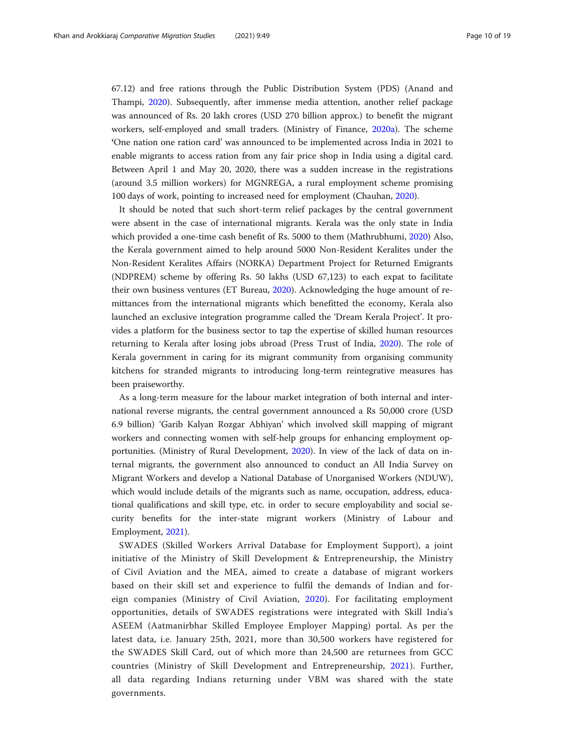67.12) and free rations through the Public Distribution System (PDS) (Anand and Thampi, [2020](#page-16-0)). Subsequently, after immense media attention, another relief package was announced of Rs. 20 lakh crores (USD 270 billion approx.) to benefit the migrant workers, self-employed and small traders. (Ministry of Finance, [2020a](#page-17-0)). The scheme 'One nation one ration card' was announced to be implemented across India in 2021 to enable migrants to access ration from any fair price shop in India using a digital card. Between April 1 and May 20, 2020, there was a sudden increase in the registrations (around 3.5 million workers) for MGNREGA, a rural employment scheme promising 100 days of work, pointing to increased need for employment (Chauhan, [2020\)](#page-16-0).

It should be noted that such short-term relief packages by the central government were absent in the case of international migrants. Kerala was the only state in India which provided a one-time cash benefit of Rs. 5000 to them (Mathrubhumi, [2020](#page-17-0)) Also, the Kerala government aimed to help around 5000 Non-Resident Keralites under the Non-Resident Keralites Affairs (NORKA) Department Project for Returned Emigrants (NDPREM) scheme by offering Rs. 50 lakhs (USD 67,123) to each expat to facilitate their own business ventures (ET Bureau, [2020](#page-16-0)). Acknowledging the huge amount of remittances from the international migrants which benefitted the economy, Kerala also launched an exclusive integration programme called the 'Dream Kerala Project'. It provides a platform for the business sector to tap the expertise of skilled human resources returning to Kerala after losing jobs abroad (Press Trust of India, [2020\)](#page-17-0). The role of Kerala government in caring for its migrant community from organising community kitchens for stranded migrants to introducing long-term reintegrative measures has been praiseworthy.

As a long-term measure for the labour market integration of both internal and international reverse migrants, the central government announced a Rs 50,000 crore (USD 6.9 billion) 'Garib Kalyan Rozgar Abhiyan' which involved skill mapping of migrant workers and connecting women with self-help groups for enhancing employment opportunities. (Ministry of Rural Development, [2020](#page-17-0)). In view of the lack of data on internal migrants, the government also announced to conduct an All India Survey on Migrant Workers and develop a National Database of Unorganised Workers (NDUW), which would include details of the migrants such as name, occupation, address, educational qualifications and skill type, etc. in order to secure employability and social security benefits for the inter-state migrant workers (Ministry of Labour and Employment, [2021\)](#page-17-0).

SWADES (Skilled Workers Arrival Database for Employment Support), a joint initiative of the Ministry of Skill Development & Entrepreneurship, the Ministry of Civil Aviation and the MEA, aimed to create a database of migrant workers based on their skill set and experience to fulfil the demands of Indian and foreign companies (Ministry of Civil Aviation, [2020](#page-17-0)). For facilitating employment opportunities, details of SWADES registrations were integrated with Skill India's ASEEM (Aatmanirbhar Skilled Employee Employer Mapping) portal. As per the latest data, i.e. January 25th, 2021, more than 30,500 workers have registered for the SWADES Skill Card, out of which more than 24,500 are returnees from GCC countries (Ministry of Skill Development and Entrepreneurship, [2021](#page-17-0)). Further, all data regarding Indians returning under VBM was shared with the state governments.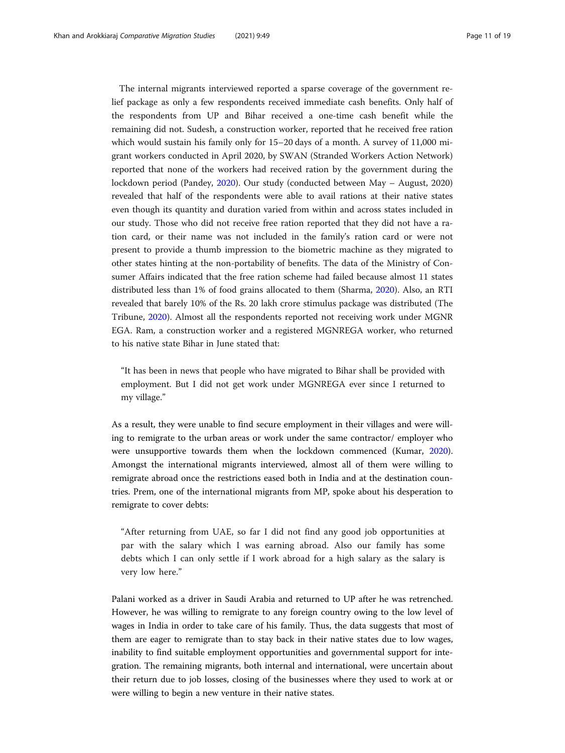The internal migrants interviewed reported a sparse coverage of the government relief package as only a few respondents received immediate cash benefits. Only half of the respondents from UP and Bihar received a one-time cash benefit while the remaining did not. Sudesh, a construction worker, reported that he received free ration which would sustain his family only for 15–20 days of a month. A survey of 11,000 migrant workers conducted in April 2020, by SWAN (Stranded Workers Action Network) reported that none of the workers had received ration by the government during the lockdown period (Pandey, [2020](#page-17-0)). Our study (conducted between May – August, 2020) revealed that half of the respondents were able to avail rations at their native states even though its quantity and duration varied from within and across states included in our study. Those who did not receive free ration reported that they did not have a ration card, or their name was not included in the family's ration card or were not present to provide a thumb impression to the biometric machine as they migrated to other states hinting at the non-portability of benefits. The data of the Ministry of Consumer Affairs indicated that the free ration scheme had failed because almost 11 states distributed less than 1% of food grains allocated to them (Sharma, [2020\)](#page-17-0). Also, an RTI revealed that barely 10% of the Rs. 20 lakh crore stimulus package was distributed (The Tribune, [2020\)](#page-18-0). Almost all the respondents reported not receiving work under MGNR EGA. Ram, a construction worker and a registered MGNREGA worker, who returned to his native state Bihar in June stated that:

"It has been in news that people who have migrated to Bihar shall be provided with employment. But I did not get work under MGNREGA ever since I returned to my village."

As a result, they were unable to find secure employment in their villages and were willing to remigrate to the urban areas or work under the same contractor/ employer who were unsupportive towards them when the lockdown commenced (Kumar, [2020](#page-16-0)). Amongst the international migrants interviewed, almost all of them were willing to remigrate abroad once the restrictions eased both in India and at the destination countries. Prem, one of the international migrants from MP, spoke about his desperation to remigrate to cover debts:

"After returning from UAE, so far I did not find any good job opportunities at par with the salary which I was earning abroad. Also our family has some debts which I can only settle if I work abroad for a high salary as the salary is very low here."

Palani worked as a driver in Saudi Arabia and returned to UP after he was retrenched. However, he was willing to remigrate to any foreign country owing to the low level of wages in India in order to take care of his family. Thus, the data suggests that most of them are eager to remigrate than to stay back in their native states due to low wages, inability to find suitable employment opportunities and governmental support for integration. The remaining migrants, both internal and international, were uncertain about their return due to job losses, closing of the businesses where they used to work at or were willing to begin a new venture in their native states.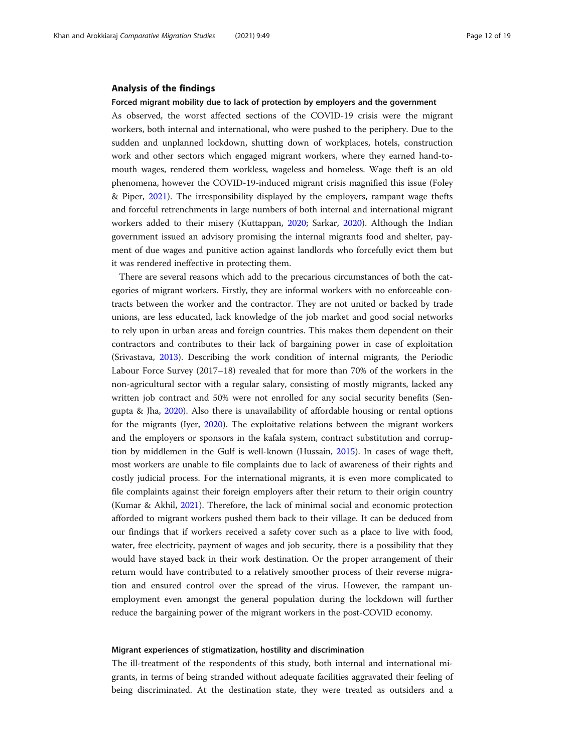#### Analysis of the findings

#### Forced migrant mobility due to lack of protection by employers and the government

As observed, the worst affected sections of the COVID-19 crisis were the migrant workers, both internal and international, who were pushed to the periphery. Due to the sudden and unplanned lockdown, shutting down of workplaces, hotels, construction work and other sectors which engaged migrant workers, where they earned hand-tomouth wages, rendered them workless, wageless and homeless. Wage theft is an old phenomena, however the COVID-19-induced migrant crisis magnified this issue (Foley & Piper, [2021](#page-16-0)). The irresponsibility displayed by the employers, rampant wage thefts and forceful retrenchments in large numbers of both internal and international migrant workers added to their misery (Kuttappan, [2020;](#page-16-0) Sarkar, [2020\)](#page-17-0). Although the Indian government issued an advisory promising the internal migrants food and shelter, payment of due wages and punitive action against landlords who forcefully evict them but it was rendered ineffective in protecting them.

There are several reasons which add to the precarious circumstances of both the categories of migrant workers. Firstly, they are informal workers with no enforceable contracts between the worker and the contractor. They are not united or backed by trade unions, are less educated, lack knowledge of the job market and good social networks to rely upon in urban areas and foreign countries. This makes them dependent on their contractors and contributes to their lack of bargaining power in case of exploitation (Srivastava, [2013\)](#page-18-0). Describing the work condition of internal migrants, the Periodic Labour Force Survey (2017–18) revealed that for more than 70% of the workers in the non-agricultural sector with a regular salary, consisting of mostly migrants, lacked any written job contract and 50% were not enrolled for any social security benefits (Sengupta & Jha, [2020\)](#page-17-0). Also there is unavailability of affordable housing or rental options for the migrants (Iyer, [2020\)](#page-16-0). The exploitative relations between the migrant workers and the employers or sponsors in the kafala system, contract substitution and corruption by middlemen in the Gulf is well-known (Hussain, [2015](#page-16-0)). In cases of wage theft, most workers are unable to file complaints due to lack of awareness of their rights and costly judicial process. For the international migrants, it is even more complicated to file complaints against their foreign employers after their return to their origin country (Kumar & Akhil, [2021\)](#page-16-0). Therefore, the lack of minimal social and economic protection afforded to migrant workers pushed them back to their village. It can be deduced from our findings that if workers received a safety cover such as a place to live with food, water, free electricity, payment of wages and job security, there is a possibility that they would have stayed back in their work destination. Or the proper arrangement of their return would have contributed to a relatively smoother process of their reverse migration and ensured control over the spread of the virus. However, the rampant unemployment even amongst the general population during the lockdown will further reduce the bargaining power of the migrant workers in the post-COVID economy.

## Migrant experiences of stigmatization, hostility and discrimination

The ill-treatment of the respondents of this study, both internal and international migrants, in terms of being stranded without adequate facilities aggravated their feeling of being discriminated. At the destination state, they were treated as outsiders and a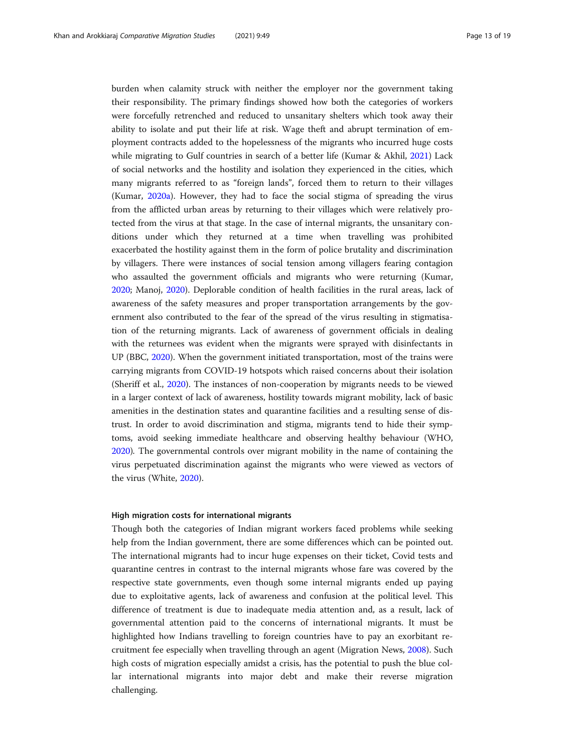burden when calamity struck with neither the employer nor the government taking their responsibility. The primary findings showed how both the categories of workers were forcefully retrenched and reduced to unsanitary shelters which took away their ability to isolate and put their life at risk. Wage theft and abrupt termination of employment contracts added to the hopelessness of the migrants who incurred huge costs while migrating to Gulf countries in search of a better life (Kumar & Akhil, [2021](#page-16-0)) Lack of social networks and the hostility and isolation they experienced in the cities, which many migrants referred to as "foreign lands", forced them to return to their villages (Kumar, [2020a\)](#page-16-0). However, they had to face the social stigma of spreading the virus from the afflicted urban areas by returning to their villages which were relatively protected from the virus at that stage. In the case of internal migrants, the unsanitary conditions under which they returned at a time when travelling was prohibited exacerbated the hostility against them in the form of police brutality and discrimination by villagers. There were instances of social tension among villagers fearing contagion who assaulted the government officials and migrants who were returning (Kumar, [2020](#page-16-0); Manoj, [2020\)](#page-17-0). Deplorable condition of health facilities in the rural areas, lack of awareness of the safety measures and proper transportation arrangements by the government also contributed to the fear of the spread of the virus resulting in stigmatisation of the returning migrants. Lack of awareness of government officials in dealing with the returnees was evident when the migrants were sprayed with disinfectants in UP (BBC, [2020](#page-16-0)). When the government initiated transportation, most of the trains were carrying migrants from COVID-19 hotspots which raised concerns about their isolation (Sheriff et al., [2020\)](#page-17-0). The instances of non-cooperation by migrants needs to be viewed in a larger context of lack of awareness, hostility towards migrant mobility, lack of basic amenities in the destination states and quarantine facilities and a resulting sense of distrust. In order to avoid discrimination and stigma, migrants tend to hide their symptoms, avoid seeking immediate healthcare and observing healthy behaviour (WHO, [2020](#page-18-0)). The governmental controls over migrant mobility in the name of containing the virus perpetuated discrimination against the migrants who were viewed as vectors of the virus (White, [2020](#page-18-0)).

#### High migration costs for international migrants

Though both the categories of Indian migrant workers faced problems while seeking help from the Indian government, there are some differences which can be pointed out. The international migrants had to incur huge expenses on their ticket, Covid tests and quarantine centres in contrast to the internal migrants whose fare was covered by the respective state governments, even though some internal migrants ended up paying due to exploitative agents, lack of awareness and confusion at the political level. This difference of treatment is due to inadequate media attention and, as a result, lack of governmental attention paid to the concerns of international migrants. It must be highlighted how Indians travelling to foreign countries have to pay an exorbitant recruitment fee especially when travelling through an agent (Migration News, [2008](#page-17-0)). Such high costs of migration especially amidst a crisis, has the potential to push the blue collar international migrants into major debt and make their reverse migration challenging.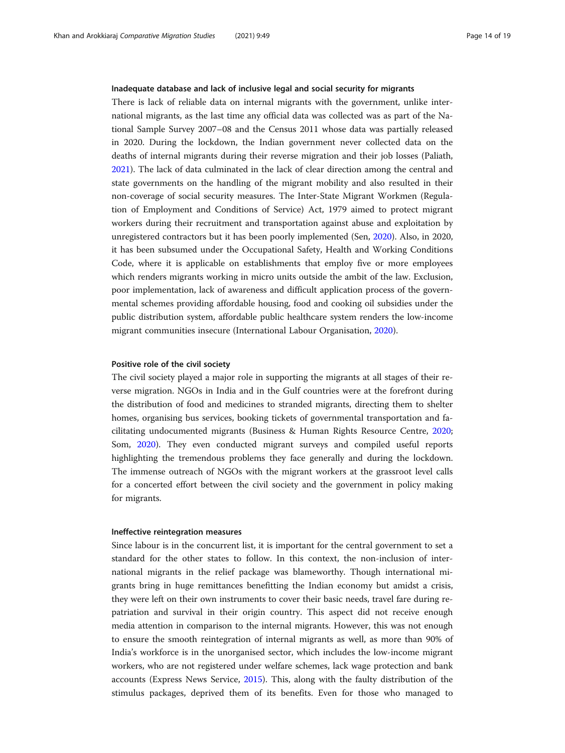#### Inadequate database and lack of inclusive legal and social security for migrants

There is lack of reliable data on internal migrants with the government, unlike international migrants, as the last time any official data was collected was as part of the National Sample Survey 2007–08 and the Census 2011 whose data was partially released in 2020. During the lockdown, the Indian government never collected data on the deaths of internal migrants during their reverse migration and their job losses (Paliath, [2021](#page-17-0)). The lack of data culminated in the lack of clear direction among the central and state governments on the handling of the migrant mobility and also resulted in their non-coverage of social security measures. The Inter-State Migrant Workmen (Regulation of Employment and Conditions of Service) Act, 1979 aimed to protect migrant workers during their recruitment and transportation against abuse and exploitation by unregistered contractors but it has been poorly implemented (Sen, [2020](#page-17-0)). Also, in 2020, it has been subsumed under the Occupational Safety, Health and Working Conditions Code, where it is applicable on establishments that employ five or more employees which renders migrants working in micro units outside the ambit of the law. Exclusion, poor implementation, lack of awareness and difficult application process of the governmental schemes providing affordable housing, food and cooking oil subsidies under the public distribution system, affordable public healthcare system renders the low-income migrant communities insecure (International Labour Organisation, [2020](#page-16-0)).

#### Positive role of the civil society

The civil society played a major role in supporting the migrants at all stages of their reverse migration. NGOs in India and in the Gulf countries were at the forefront during the distribution of food and medicines to stranded migrants, directing them to shelter homes, organising bus services, booking tickets of governmental transportation and facilitating undocumented migrants (Business & Human Rights Resource Centre, [2020](#page-16-0); Som, [2020](#page-17-0)). They even conducted migrant surveys and compiled useful reports highlighting the tremendous problems they face generally and during the lockdown. The immense outreach of NGOs with the migrant workers at the grassroot level calls for a concerted effort between the civil society and the government in policy making for migrants.

#### Ineffective reintegration measures

Since labour is in the concurrent list, it is important for the central government to set a standard for the other states to follow. In this context, the non-inclusion of international migrants in the relief package was blameworthy. Though international migrants bring in huge remittances benefitting the Indian economy but amidst a crisis, they were left on their own instruments to cover their basic needs, travel fare during repatriation and survival in their origin country. This aspect did not receive enough media attention in comparison to the internal migrants. However, this was not enough to ensure the smooth reintegration of internal migrants as well, as more than 90% of India's workforce is in the unorganised sector, which includes the low-income migrant workers, who are not registered under welfare schemes, lack wage protection and bank accounts (Express News Service, [2015\)](#page-16-0). This, along with the faulty distribution of the stimulus packages, deprived them of its benefits. Even for those who managed to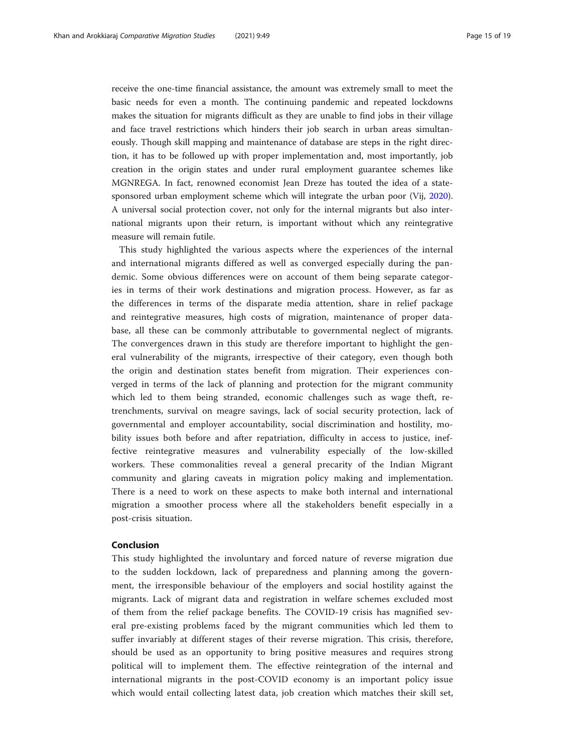receive the one-time financial assistance, the amount was extremely small to meet the basic needs for even a month. The continuing pandemic and repeated lockdowns makes the situation for migrants difficult as they are unable to find jobs in their village and face travel restrictions which hinders their job search in urban areas simultaneously. Though skill mapping and maintenance of database are steps in the right direction, it has to be followed up with proper implementation and, most importantly, job creation in the origin states and under rural employment guarantee schemes like MGNREGA. In fact, renowned economist Jean Dreze has touted the idea of a statesponsored urban employment scheme which will integrate the urban poor (Vij, [2020](#page-18-0)). A universal social protection cover, not only for the internal migrants but also international migrants upon their return, is important without which any reintegrative measure will remain futile.

This study highlighted the various aspects where the experiences of the internal and international migrants differed as well as converged especially during the pandemic. Some obvious differences were on account of them being separate categories in terms of their work destinations and migration process. However, as far as the differences in terms of the disparate media attention, share in relief package and reintegrative measures, high costs of migration, maintenance of proper database, all these can be commonly attributable to governmental neglect of migrants. The convergences drawn in this study are therefore important to highlight the general vulnerability of the migrants, irrespective of their category, even though both the origin and destination states benefit from migration. Their experiences converged in terms of the lack of planning and protection for the migrant community which led to them being stranded, economic challenges such as wage theft, retrenchments, survival on meagre savings, lack of social security protection, lack of governmental and employer accountability, social discrimination and hostility, mobility issues both before and after repatriation, difficulty in access to justice, ineffective reintegrative measures and vulnerability especially of the low-skilled workers. These commonalities reveal a general precarity of the Indian Migrant community and glaring caveats in migration policy making and implementation. There is a need to work on these aspects to make both internal and international migration a smoother process where all the stakeholders benefit especially in a post-crisis situation.

## Conclusion

This study highlighted the involuntary and forced nature of reverse migration due to the sudden lockdown, lack of preparedness and planning among the government, the irresponsible behaviour of the employers and social hostility against the migrants. Lack of migrant data and registration in welfare schemes excluded most of them from the relief package benefits. The COVID-19 crisis has magnified several pre-existing problems faced by the migrant communities which led them to suffer invariably at different stages of their reverse migration. This crisis, therefore, should be used as an opportunity to bring positive measures and requires strong political will to implement them. The effective reintegration of the internal and international migrants in the post-COVID economy is an important policy issue which would entail collecting latest data, job creation which matches their skill set,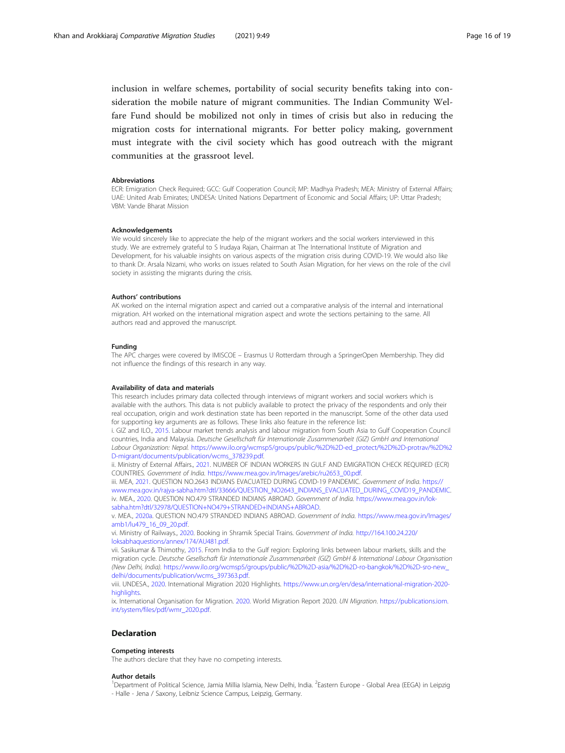inclusion in welfare schemes, portability of social security benefits taking into consideration the mobile nature of migrant communities. The Indian Community Welfare Fund should be mobilized not only in times of crisis but also in reducing the migration costs for international migrants. For better policy making, government must integrate with the civil society which has good outreach with the migrant communities at the grassroot level.

#### Abbreviations

ECR: Emigration Check Required; GCC: Gulf Cooperation Council; MP: Madhya Pradesh; MEA: Ministry of External Affairs; UAE: United Arab Emirates; UNDESA: United Nations Department of Economic and Social Affairs; UP: Uttar Pradesh; VBM: Vande Bharat Mission

#### Acknowledgements

We would sincerely like to appreciate the help of the migrant workers and the social workers interviewed in this study. We are extremely grateful to S Irudaya Rajan, Chairman at The International Institute of Migration and Development, for his valuable insights on various aspects of the migration crisis during COVID-19. We would also like to thank Dr. Arsala Nizami, who works on issues related to South Asian Migration, for her views on the role of the civil society in assisting the migrants during the crisis.

#### Authors' contributions

AK worked on the internal migration aspect and carried out a comparative analysis of the internal and international migration. AH worked on the international migration aspect and wrote the sections pertaining to the same. All authors read and approved the manuscript.

#### Funding

The APC charges were covered by IMISCOE – Erasmus U Rotterdam through a SpringerOpen Membership. They did not influence the findings of this research in any way.

#### Availability of data and materials

This research includes primary data collected through interviews of migrant workers and social workers which is available with the authors. This data is not publicly available to protect the privacy of the respondents and only their real occupation, origin and work destination state has been reported in the manuscript. Some of the other data used for supporting key arguments are as follows. These links also feature in the reference list:

i. GIZ and ILO., [2015.](#page-16-0) Labour market trends analysis and labour migration from South Asia to Gulf Cooperation Council countries, India and Malaysia. Deutsche Gesellschaft für Internationale Zusammenarbeit (GIZ) GmbH and International Labour Organization: Nepal. [https://www.ilo.org/wcmsp5/groups/public/%2D%2D-ed\\_protect/%2D%2D-protrav/%2D%2](https://www.ilo.org/wcmsp5/groups/public/%2D%2D-ed_protect/%2D%2D-protrav/%2D%2D-migrant/documents/publication/wcms_378239.pdf) [D-migrant/documents/publication/wcms\\_378239.pdf](https://www.ilo.org/wcmsp5/groups/public/%2D%2D-ed_protect/%2D%2D-protrav/%2D%2D-migrant/documents/publication/wcms_378239.pdf).

ii. Ministry of External Affairs., [2021](#page-17-0). NUMBER OF INDIAN WORKERS IN GULF AND EMIGRATION CHECK REQUIRED (ECR) COUNTRIES. Government of India. [https://www.mea.gov.in/Images/arebic/ru2653\\_00.pdf.](https://www.mea.gov.in/Images/arebic/ru2653_00.pdf)

iii. MEA, [2021](#page-17-0). QUESTION NO.2643 INDIANS EVACUATED DURING COVID-19 PANDEMIC. Government of India. [https://](https://www.mea.gov.in/rajya-sabha.htm?dtl/33666/QUESTION_NO2643_INDIANS_EVACUATED_DURING_COVID19_PANDEMIC) [www.mea.gov.in/rajya-sabha.htm?dtl/33666/QUESTION\\_NO2643\\_INDIANS\\_EVACUATED\\_DURING\\_COVID19\\_PANDEMIC.](https://www.mea.gov.in/rajya-sabha.htm?dtl/33666/QUESTION_NO2643_INDIANS_EVACUATED_DURING_COVID19_PANDEMIC) iv. MEA., [2020.](#page-17-0) QUESTION NO.479 STRANDED INDIANS ABROAD. Government of India. [https://www.mea.gov.in/lok](https://www.mea.gov.in/lok-sabha.htm?dtl/32978/QUESTION+NO479+STRANDED+INDIANS+ABROAD)[sabha.htm?dtl/32978/QUESTION+NO479+STRANDED+INDIANS+ABROAD.](https://www.mea.gov.in/lok-sabha.htm?dtl/32978/QUESTION+NO479+STRANDED+INDIANS+ABROAD)

v. MEA., [2020a.](#page-17-0) QUESTION NO.479 STRANDED INDIANS ABROAD. Government of India. [https://www.mea.gov.in/Images/](https://www.mea.gov.in/Images/amb1/lu479_16_09_20.pdf) [amb1/lu479\\_16\\_09\\_20.pdf.](https://www.mea.gov.in/Images/amb1/lu479_16_09_20.pdf)

vi. Ministry of Railways., [2020](#page-17-0). Booking in Shramik Special Trains. Government of India. [http://164.100.24.220/](http://164.100.24.220/loksabhaquestions/annex/174/AU481.pdf) [loksabhaquestions/annex/174/AU481.pdf.](http://164.100.24.220/loksabhaquestions/annex/174/AU481.pdf)

vii. Sasikumar & Thimothy, [2015.](#page-17-0) From India to the Gulf region: Exploring links between labour markets, skills and the migration cycle. Deutsche Gesellschaft für Internationale Zusammenarbeit (GIZ) GmbH & International Labour Organisation (New Delhi, India). [https://www.ilo.org/wcmsp5/groups/public/%2D%2D-asia/%2D%2D-ro-bangkok/%2D%2D-sro-new\\_](https://www.ilo.org/wcmsp5/groups/public/%2D%2D-asia/%2D%2D-ro-bangkok/%2D%2D-sro-new_delhi/documents/publication/wcms_397363.pdf) [delhi/documents/publication/wcms\\_397363.pdf.](https://www.ilo.org/wcmsp5/groups/public/%2D%2D-asia/%2D%2D-ro-bangkok/%2D%2D-sro-new_delhi/documents/publication/wcms_397363.pdf)

viii. UNDESA., [2020.](#page-18-0) International Migration 2020 Highlights. [https://www.un.org/en/desa/international-migration-2020](https://www.un.org/en/desa/international-migration-2020-highlights) [highlights](https://www.un.org/en/desa/international-migration-2020-highlights).

ix. International Organisation for Migration. [2020](#page-16-0). World Migration Report 2020. UN Migration. [https://publications.iom.](https://publications.iom.int/system/files/pdf/wmr_2020.pdf) [int/system/files/pdf/wmr\\_2020.pdf](https://publications.iom.int/system/files/pdf/wmr_2020.pdf).

### Declaration

#### Competing interests

The authors declare that they have no competing interests.

#### Author details

<sup>1</sup>Department of Political Science, Jamia Millia Islamia, New Delhi, India. <sup>2</sup>Eastern Europe - Global Area (EEGA) in Leipzig - Halle - Jena / Saxony, Leibniz Science Campus, Leipzig, Germany.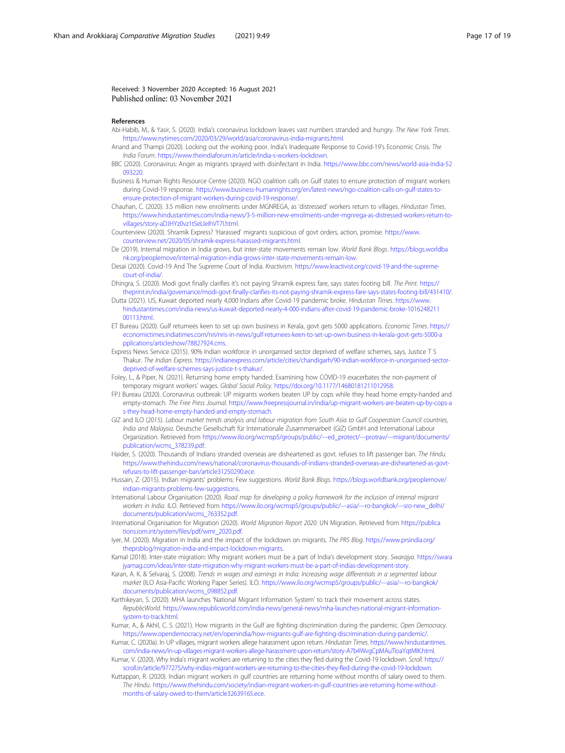<span id="page-16-0"></span>Received: 3 November 2020 Accepted: 16 August 2021 Published online: 03 November 2021

#### References

- Abi-Habib, M., & Yasir, S. (2020). India's coronavirus lockdown leaves vast numbers stranded and hungry. The New York Times. [https://www.nytimes.com/2020/03/29/world/asia/coronavirus-india-migrants.html.](https://www.nytimes.com/2020/03/29/world/asia/coronavirus-india-migrants.html)
- Anand and Thampi (2020). Locking out the working poor. India's Inadequate Response to Covid-19's Economic Crisis. The India Forum. [https://www.theindiaforum.in/article/india-s-workers-lockdown.](https://www.theindiaforum.in/article/india-s-workers-lockdown)
- BBC (2020). Coronavirus: Anger as migrants sprayed with disinfectant in India. [https://www.bbc.com/news/world-asia-india-52](https://www.bbc.com/news/world-asia-india-52093220) [093220](https://www.bbc.com/news/world-asia-india-52093220).
- Business & Human Rights Resource Centre (2020). NGO coalition calls on Gulf states to ensure protection of migrant workers during Covid-19 response. [https://www.business-humanrights.org/en/latest-news/ngo-coalition-calls-on-gulf-states-to](https://www.business-humanrights.org/en/latest-news/ngo-coalition-calls-on-gulf-states-to-ensure-protection-of-migrant-workers-during-covid-19-response/)[ensure-protection-of-migrant-workers-during-covid-19-response/.](https://www.business-humanrights.org/en/latest-news/ngo-coalition-calls-on-gulf-states-to-ensure-protection-of-migrant-workers-during-covid-19-response/)

Chauhan, C. (2020). 3.5 million new enrolments under MGNREGA, as 'distressed' workers return to villages. Hindustan Times. [https://www.hindustantimes.com/india-news/3-5-million-new-enrolments-under-mgnrega-as-distressed-workers-return-to](https://www.hindustantimes.com/india-news/3-5-million-new-enrolments-under-mgnrega-as-distressed-workers-return-to-villages/story-aDJHYz0vz1tSeLleIhVT7I.html)[villages/story-aDJHYz0vz1tSeLleIhVT7I.html.](https://www.hindustantimes.com/india-news/3-5-million-new-enrolments-under-mgnrega-as-distressed-workers-return-to-villages/story-aDJHYz0vz1tSeLleIhVT7I.html)

Counterview (2020). Shramik Express? 'Harassed' migrants suspicious of govt orders, action, promise. [https://www.](https://www.counterview.net/2020/05/shramik-express-harassed-migrants.html) [counterview.net/2020/05/shramik-express-harassed-migrants.html](https://www.counterview.net/2020/05/shramik-express-harassed-migrants.html).

- De (2019). Internal migration in India grows, but inter-state movements remain low. World Bank Blogs. [https://blogs.worldba](https://blogs.worldbank.org/peoplemove/internal-migration-india-grows-inter-state-movements-remain-low) [nk.org/peoplemove/internal-migration-india-grows-inter-state-movements-remain-low](https://blogs.worldbank.org/peoplemove/internal-migration-india-grows-inter-state-movements-remain-low).
- Desai (2020). Covid-19 And The Supreme Court of India. Kractivism. [https://www.kractivist.org/covid-19-and-the-supreme](https://www.kractivist.org/covid-19-and-the-supreme-court-of-india/)[court-of-india/.](https://www.kractivist.org/covid-19-and-the-supreme-court-of-india/)
- Dhingra, S. (2020). Modi govt finally clarifies it's not paying Shramik express fare, says states footing bill. The Print. [https://](https://theprint.in/india/governance/modi-govt-finally-clarifies-its-not-paying-shramik-express-fare-says-states-footing-bill/431410/) [theprint.in/india/governance/modi-govt-finally-clarifies-its-not-paying-shramik-express-fare-says-states-footing-bill/431410/](https://theprint.in/india/governance/modi-govt-finally-clarifies-its-not-paying-shramik-express-fare-says-states-footing-bill/431410/).
- Dutta (2021). US, Kuwait deported nearly 4,000 Indians after Covid-19 pandemic broke. Hindustan Times. [https://www.](https://www.hindustantimes.com/india-news/us-kuwait-deported-nearly-4-000-indians-after-covid-19-pandemic-broke-101624821100113.html) [hindustantimes.com/india-news/us-kuwait-deported-nearly-4-000-indians-after-covid-19-pandemic-broke-1016248211](https://www.hindustantimes.com/india-news/us-kuwait-deported-nearly-4-000-indians-after-covid-19-pandemic-broke-101624821100113.html) [00113.html](https://www.hindustantimes.com/india-news/us-kuwait-deported-nearly-4-000-indians-after-covid-19-pandemic-broke-101624821100113.html).
- ET Bureau (2020). Gulf returnees keen to set up own business in Kerala, govt gets 5000 applications. Economic Times. [https://](https://economictimes.indiatimes.com/nri/nris-in-news/gulf-returnees-keen-to-set-up-own-business-in-kerala-govt-gets-5000-applications/articleshow/78827924.cms) [economictimes.indiatimes.com/nri/nris-in-news/gulf-returnees-keen-to-set-up-own-business-in-kerala-govt-gets-5000-a](https://economictimes.indiatimes.com/nri/nris-in-news/gulf-returnees-keen-to-set-up-own-business-in-kerala-govt-gets-5000-applications/articleshow/78827924.cms) [pplications/articleshow/78827924.cms](https://economictimes.indiatimes.com/nri/nris-in-news/gulf-returnees-keen-to-set-up-own-business-in-kerala-govt-gets-5000-applications/articleshow/78827924.cms).
- Express News Service (2015). 90% Indian workforce in unorganised sector deprived of welfare schemes, says, Justice T S Thakur. The Indian Express. [https://indianexpress.com/article/cities/chandigarh/90-indian-workforce-in-unorganised-sector](https://indianexpress.com/article/cities/chandigarh/90-indian-workforce-in-unorganised-sector-deprived-of-welfare-schemes-says-justice-t-s-thakur/)[deprived-of-welfare-schemes-says-justice-t-s-thakur/.](https://indianexpress.com/article/cities/chandigarh/90-indian-workforce-in-unorganised-sector-deprived-of-welfare-schemes-says-justice-t-s-thakur/)
- Foley, L., & Piper, N. (2021). Returning home empty handed: Examining how COVID-19 exacerbates the non-payment of temporary migrant workers' wages. Global Social Policy. <https://doi.org/10.1177/14680181211012958>
- FPJ Bureau (2020). Coronavirus outbreak: UP migrants workers beaten UP by cops while they head home empty-handed and empty-stomach. The Free Press Journal. [https://www.freepressjournal.in/india/up-migrant-workers-are-beaten-up-by-cops-a](https://www.freepressjournal.in/india/up-migrant-workers-are-beaten-up-by-cops-as-they-head-home-empty-handed-and-empty-stomach) [s-they-head-home-empty-handed-and-empty-stomach](https://www.freepressjournal.in/india/up-migrant-workers-are-beaten-up-by-cops-as-they-head-home-empty-handed-and-empty-stomach).
- GIZ and ILO (2015). Labour market trends analysis and labour migration from South Asia to Gulf Cooperation Council countries, India and Malaysia. Deutsche Gesellschaft für Internationale Zusammenarbeit (GIZ) GmbH and International Labour Organization. Retrieved from [https://www.ilo.org/wcmsp5/groups/public/---ed\\_protect/---protrav/---migrant/documents/](https://www.ilo.org/wcmsp5/groups/public/---ed_protect/---protrav/---migrant/documents/publication/wcms_378239.pdf) [publication/wcms\\_378239.pdf](https://www.ilo.org/wcmsp5/groups/public/---ed_protect/---protrav/---migrant/documents/publication/wcms_378239.pdf).
- Haider, S. (2020). Thousands of Indians stranded overseas are disheartened as govt. refuses to lift passenger ban. The Hindu. [https://www.thehindu.com/news/national/coronavirus-thousands-of-indians-stranded-overseas-are-disheartened-as-govt](https://www.thehindu.com/news/national/coronavirus-thousands-of-indians-stranded-overseas-are-disheartened-as-govt-refuses-to-lift-passenger-ban/article31250290.ece)[refuses-to-lift-passenger-ban/article31250290.ece.](https://www.thehindu.com/news/national/coronavirus-thousands-of-indians-stranded-overseas-are-disheartened-as-govt-refuses-to-lift-passenger-ban/article31250290.ece)
- Hussain, Z. (2015). Indian migrants' problems: Few suggestions. World Bank Blogs. [https://blogs.worldbank.org/peoplemove/](https://blogs.worldbank.org/peoplemove/indian-migrants-problems-few-suggestions) [indian-migrants-problems-few-suggestions.](https://blogs.worldbank.org/peoplemove/indian-migrants-problems-few-suggestions)
- International Labour Organisation (2020). Road map for developing a policy framework for the inclusion of internal migrant workers in India. ILO. Retrieved from [https://www.ilo.org/wcmsp5/groups/public/---asia/---ro-bangkok/---sro-new\\_delhi/](https://www.ilo.org/wcmsp5/groups/public/---asia/---ro-bangkok/---sro-new_delhi/documents/publication/wcms_763352.pdf) [documents/publication/wcms\\_763352.pdf](https://www.ilo.org/wcmsp5/groups/public/---asia/---ro-bangkok/---sro-new_delhi/documents/publication/wcms_763352.pdf).
- International Organisation for Migration (2020). World Migration Report 2020. UN Migration. Retrieved from [https://publica](https://publications.iom.int/system/files/pdf/wmr_2020.pdf) [tions.iom.int/system/files/pdf/wmr\\_2020.pdf](https://publications.iom.int/system/files/pdf/wmr_2020.pdf).
- Iyer, M. (2020). Migration in India and the impact of the lockdown on migrants. The PRS Blog. [https://www.prsindia.org/](https://www.prsindia.org/theprsblog/migration-india-and-impact-lockdown-migrants) [theprsblog/migration-india-and-impact-lockdown-migrants.](https://www.prsindia.org/theprsblog/migration-india-and-impact-lockdown-migrants)
- Kamal (2018). Inter-state migration: Why migrant workers must be a part of India's development story. Swarajya. [https://swara](https://swarajyamag.com/ideas/inter-state-migration-why-migrant-workers-must-be-a-part-of-indias-development-story) [jyamag.com/ideas/inter-state-migration-why-migrant-workers-must-be-a-part-of-indias-development-story.](https://swarajyamag.com/ideas/inter-state-migration-why-migrant-workers-must-be-a-part-of-indias-development-story)
- Karan, A. K. & Selvaraj, S. (2008). Trends in wages and earnings in India: Increasing wage differentials in a segmented labour market (ILO Asia-Pacific Working Paper Series). ILO. [https://www.ilo.org/wcmsp5/groups/public/---asia/---ro-bangkok/](https://www.ilo.org/wcmsp5/groups/public/---asia/---ro-bangkok/documents/publication/wcms_098852.pdf) [documents/publication/wcms\\_098852.pdf](https://www.ilo.org/wcmsp5/groups/public/---asia/---ro-bangkok/documents/publication/wcms_098852.pdf).
- Karthikeyan, S. (2020). MHA launches 'National Migrant Information System' to track their movement across states. RepublicWorld. [https://www.republicworld.com/india-news/general-news/mha-launches-national-migrant-information](https://www.republicworld.com/india-news/general-news/mha-launches-national-migrant-information-system-to-track.html)[system-to-track.html](https://www.republicworld.com/india-news/general-news/mha-launches-national-migrant-information-system-to-track.html).
- Kumar, A., & Akhil, C. S. (2021). How migrants in the Gulf are fighting discrimination during the pandemic. Open Democracy. [https://www.opendemocracy.net/en/openindia/how-migrants-gulf-are-fighting-discrimination-during-pandemic/.](https://www.opendemocracy.net/en/openindia/how-migrants-gulf-are-fighting-discrimination-during-pandemic/)
- Kumar, C. (2020a). In UP villages, migrant workers allege harassment upon return. Hindustan Times. [https://www.hindustantimes.](https://www.hindustantimes.com/india-news/in-up-villages-migrant-workers-allege-harassment-upon-return/story-A7b4WvgCpMAuTIoaYqtMIK.html) [com/india-news/in-up-villages-migrant-workers-allege-harassment-upon-return/story-A7b4WvgCpMAuTIoaYqtMIK.html.](https://www.hindustantimes.com/india-news/in-up-villages-migrant-workers-allege-harassment-upon-return/story-A7b4WvgCpMAuTIoaYqtMIK.html)
- Kumar, V. (2020). Why India's migrant workers are returning to the cities they fled during the Covid-19 lockdown. Scroll. [https://](https://scroll.in/article/977275/why-indias-migrant-workers-are-returning-to-the-cities-they-fled-during-the-covid-19-lockdown) [scroll.in/article/977275/why-indias-migrant-workers-are-returning-to-the-cities-they-fled-during-the-covid-19-lockdown.](https://scroll.in/article/977275/why-indias-migrant-workers-are-returning-to-the-cities-they-fled-during-the-covid-19-lockdown)
- Kuttappan, R. (2020). Indian migrant workers in gulf countries are returning home without months of salary owed to them. The Hindu. [https://www.thehindu.com/society/indian-migrant-workers-in-gulf-countries-are-returning-home-without](https://www.thehindu.com/society/indian-migrant-workers-in-gulf-countries-are-returning-home-without-months-of-salary-owed-to-them/article32639165.ece)[months-of-salary-owed-to-them/article32639165.ece](https://www.thehindu.com/society/indian-migrant-workers-in-gulf-countries-are-returning-home-without-months-of-salary-owed-to-them/article32639165.ece).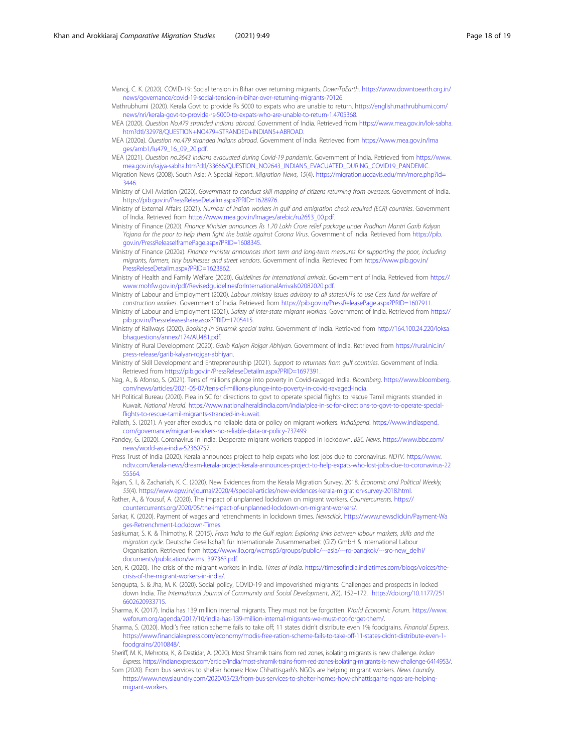<span id="page-17-0"></span>Manoj, C. K. (2020). COVID-19: Social tension in Bihar over returning migrants. DownToEarth. [https://www.downtoearth.org.in/](https://www.downtoearth.org.in/news/governance/covid-19-social-tension-in-bihar-over-returning-migrants-70126) [news/governance/covid-19-social-tension-in-bihar-over-returning-migrants-70126](https://www.downtoearth.org.in/news/governance/covid-19-social-tension-in-bihar-over-returning-migrants-70126).

- Mathrubhumi (2020). Kerala Govt to provide Rs 5000 to expats who are unable to return. [https://english.mathrubhumi.com/](https://english.mathrubhumi.com/news/nri/kerala-govt-to-provide-rs-5000-to-expats-who-are-unable-to-return-1.4705368) [news/nri/kerala-govt-to-provide-rs-5000-to-expats-who-are-unable-to-return-1.4705368.](https://english.mathrubhumi.com/news/nri/kerala-govt-to-provide-rs-5000-to-expats-who-are-unable-to-return-1.4705368)
- MEA (2020). Question No.479 stranded Indians abroad. Government of India. Retrieved from [https://www.mea.gov.in/lok-sabha.](https://www.mea.gov.in/lok-sabha.htm?dtl/32978/QUESTION+NO479+STRANDED+INDIANS+ABROAD) [htm?dtl/32978/QUESTION+NO479+STRANDED+INDIANS+ABROAD.](https://www.mea.gov.in/lok-sabha.htm?dtl/32978/QUESTION+NO479+STRANDED+INDIANS+ABROAD)
- MEA (2020a). Question no.479 stranded Indians abroad. Government of India. Retrieved from [https://www.mea.gov.in/Ima](https://www.mea.gov.in/Images/amb1/lu479_16_09_20.pdf) [ges/amb1/lu479\\_16\\_09\\_20.pdf.](https://www.mea.gov.in/Images/amb1/lu479_16_09_20.pdf)
- MEA (2021). Question no.2643 Indians evacuated during Covid-19 pandemic. Government of India. Retrieved from [https://www.](https://www.mea.gov.in/rajya-sabha.htm?dtl/33666/QUESTION_NO2643_INDIANS_EVACUATED_DURING_COVID19_PANDEMIC) [mea.gov.in/rajya-sabha.htm?dtl/33666/QUESTION\\_NO2643\\_INDIANS\\_EVACUATED\\_DURING\\_COVID19\\_PANDEMIC.](https://www.mea.gov.in/rajya-sabha.htm?dtl/33666/QUESTION_NO2643_INDIANS_EVACUATED_DURING_COVID19_PANDEMIC)
- Migration News (2008). South Asia: A Special Report. Migration News, 15(4). [https://migration.ucdavis.edu/mn/more.php?id=](https://migration.ucdavis.edu/mn/more.php?id=3446) [3446](https://migration.ucdavis.edu/mn/more.php?id=3446).
- Ministry of Civil Aviation (2020). Government to conduct skill mapping of citizens returning from overseas. Government of India. <https://pib.gov.in/PressReleseDetailm.aspx?PRID=1628976>.
- Ministry of External Affairs (2021). Number of Indian workers in gulf and emigration check required (ECR) countries. Government of India. Retrieved from [https://www.mea.gov.in/Images/arebic/ru2653\\_00.pdf](https://www.mea.gov.in/Images/arebic/ru2653_00.pdf).
- Ministry of Finance (2020). Finance Minister announces Rs 1.70 Lakh Crore relief package under Pradhan Mantri Garib Kalyan Yojana for the poor to help them fight the battle against Corona Virus. Government of India. Retrieved from [https://pib.](https://pib.gov.in/PressReleaseIframePage.aspx?PRID=1608345) [gov.in/PressReleaseIframePage.aspx?PRID=1608345](https://pib.gov.in/PressReleaseIframePage.aspx?PRID=1608345).
- Ministry of Finance (2020a). Finance minister announces short term and long-term measures for supporting the poor, including migrants, farmers, tiny businesses and street vendors. Government of India. Retrieved from [https://www.pib.gov.in/](https://www.pib.gov.in/PressReleseDetailm.aspx?PRID=1623862) [PressReleseDetailm.aspx?PRID=1623862.](https://www.pib.gov.in/PressReleseDetailm.aspx?PRID=1623862)
- Ministry of Health and Family Welfare (2020). Guidelines for international arrivals. Government of India. Retrieved from [https://](https://www.mohfw.gov.in/pdf/RevisedguidelinesforInternationalArrivals02082020.pdf) [www.mohfw.gov.in/pdf/RevisedguidelinesforInternationalArrivals02082020.pdf.](https://www.mohfw.gov.in/pdf/RevisedguidelinesforInternationalArrivals02082020.pdf)
- Ministry of Labour and Employment (2020). Labour ministry issues advisory to all states/UTs to use Cess fund for welfare of construction workers. Government of India. Retrieved from [https://pib.gov.in/PressReleasePage.aspx?PRID=1607911.](https://pib.gov.in/PressReleasePage.aspx?PRID=1607911)
- Ministry of Labour and Employment (2021). Safety of inter-state migrant workers. Government of India. Retrieved from [https://](https://pib.gov.in/Pressreleaseshare.aspx?PRID=1705415) [pib.gov.in/Pressreleaseshare.aspx?PRID=1705415.](https://pib.gov.in/Pressreleaseshare.aspx?PRID=1705415)
- Ministry of Railways (2020). Booking in Shramik special trains. Government of India. Retrieved from [http://164.100.24.220/loksa](http://164.100.24.220/loksabhaquestions/annex/174/AU481.pdf) [bhaquestions/annex/174/AU481.pdf](http://164.100.24.220/loksabhaquestions/annex/174/AU481.pdf).
- Ministry of Rural Development (2020). Garib Kalyan Rojgar Abhiyan. Government of India. Retrieved from [https://rural.nic.in/](https://rural.nic.in/press-release/garib-kalyan-rojgar-abhiyan) [press-release/garib-kalyan-rojgar-abhiyan.](https://rural.nic.in/press-release/garib-kalyan-rojgar-abhiyan)
- Ministry of Skill Development and Entrepreneurship (2021). Support to returnees from gulf countries. Government of India. Retrieved from [https://pib.gov.in/PressReleseDetailm.aspx?PRID=1697391.](https://pib.gov.in/PressReleseDetailm.aspx?PRID=1697391)
- Nag, A., & Afonso, S. (2021). Tens of millions plunge into poverty in Covid-ravaged India. Bloomberg. [https://www.bloomberg.](https://www.bloomberg.com/news/articles/2021-05-07/tens-of-millions-plunge-into-poverty-in-covid-ravaged-india) [com/news/articles/2021-05-07/tens-of-millions-plunge-into-poverty-in-covid-ravaged-india](https://www.bloomberg.com/news/articles/2021-05-07/tens-of-millions-plunge-into-poverty-in-covid-ravaged-india).
- NH Political Bureau (2020). Plea in SC for directions to govt to operate special flights to rescue Tamil migrants stranded in Kuwait. National Herald. [https://www.nationalheraldindia.com/india/plea-in-sc-for-directions-to-govt-to-operate-special](https://www.nationalheraldindia.com/india/plea-in-sc-for-directions-to-govt-to-operate-special-flights-to-rescue-tamil-migrants-stranded-in-kuwait)[flights-to-rescue-tamil-migrants-stranded-in-kuwait](https://www.nationalheraldindia.com/india/plea-in-sc-for-directions-to-govt-to-operate-special-flights-to-rescue-tamil-migrants-stranded-in-kuwait).
- Paliath, S. (2021). A year after exodus, no reliable data or policy on migrant workers. IndiaSpend. [https://www.indiaspend.](https://www.indiaspend.com/governance/migrant-workers-no-reliable-data-or-policy-737499) [com/governance/migrant-workers-no-reliable-data-or-policy-737499](https://www.indiaspend.com/governance/migrant-workers-no-reliable-data-or-policy-737499).
- Pandey, G. (2020). Coronavirus in India: Desperate migrant workers trapped in lockdown. BBC News. [https://www.bbc.com/](https://www.bbc.com/news/world-asia-india-52360757) [news/world-asia-india-52360757](https://www.bbc.com/news/world-asia-india-52360757).
- Press Trust of India (2020). Kerala announces project to help expats who lost jobs due to coronavirus. NDTV. [https://www.](https://www.ndtv.com/kerala-news/dream-kerala-project-kerala-announces-project-to-help-expats-who-lost-jobs-due-to-coronavirus-2255564) [ndtv.com/kerala-news/dream-kerala-project-kerala-announces-project-to-help-expats-who-lost-jobs-due-to-coronavirus-22](https://www.ndtv.com/kerala-news/dream-kerala-project-kerala-announces-project-to-help-expats-who-lost-jobs-due-to-coronavirus-2255564) [55564.](https://www.ndtv.com/kerala-news/dream-kerala-project-kerala-announces-project-to-help-expats-who-lost-jobs-due-to-coronavirus-2255564)
- Rajan, S. I., & Zachariah, K. C. (2020). New Evidences from the Kerala Migration Survey, 2018. Economic and Political Weekly, 55(4). <https://www.epw.in/journal/2020/4/special-articles/new-evidences-kerala-migration-survey-2018.html>.
- Rather, A., & Yousuf, A. (2020). The impact of unplanned lockdown on migrant workers. Countercurrents. [https://](https://countercurrents.org/2020/05/the-impact-of-unplanned-lockdown-on-migrant-workers/) [countercurrents.org/2020/05/the-impact-of-unplanned-lockdown-on-migrant-workers/.](https://countercurrents.org/2020/05/the-impact-of-unplanned-lockdown-on-migrant-workers/)
- Sarkar, K. (2020). Payment of wages and retrenchments in lockdown times. Newsclick. [https://www.newsclick.in/Payment-Wa](https://www.newsclick.in/Payment-Wages-Retrenchment-Lockdown-Times) [ges-Retrenchment-Lockdown-Times](https://www.newsclick.in/Payment-Wages-Retrenchment-Lockdown-Times).
- Sasikumar, S. K. & Thimothy, R. (2015). From India to the Gulf region: Exploring links between labour markets, skills and the migration cycle. Deutsche Gesellschaft für Internationale Zusammenarbeit (GIZ) GmbH & International Labour Organisation. Retrieved from [https://www.ilo.org/wcmsp5/groups/public/---asia/---ro-bangkok/---sro-new\\_delhi/](https://www.ilo.org/wcmsp5/groups/public/---asia/---ro-bangkok/---sro-new_delhi/documents/publication/wcms_397363.pdf) [documents/publication/wcms\\_397363.pdf](https://www.ilo.org/wcmsp5/groups/public/---asia/---ro-bangkok/---sro-new_delhi/documents/publication/wcms_397363.pdf).
- Sen, R. (2020). The crisis of the migrant workers in India. Times of India. [https://timesofindia.indiatimes.com/blogs/voices/the](https://timesofindia.indiatimes.com/blogs/voices/the-crisis-of-the-migrant-workers-in-india/)[crisis-of-the-migrant-workers-in-india/](https://timesofindia.indiatimes.com/blogs/voices/the-crisis-of-the-migrant-workers-in-india/).
- Sengupta, S. & Jha, M. K. (2020). Social policy, COVID-19 and impoverished migrants: Challenges and prospects in locked down India. The International Journal of Community and Social Development, 2(2), 152–172. [https://doi.org/10.1177/251](https://doi.org/10.1177/2516602620933715) [6602620933715.](https://doi.org/10.1177/2516602620933715)
- Sharma, K. (2017). India has 139 million internal migrants. They must not be forgotten. World Economic Forum. [https://www.](https://www.weforum.org/agenda/2017/10/india-has-139-million-internal-migrants-we-must-not-forget-them/) [weforum.org/agenda/2017/10/india-has-139-million-internal-migrants-we-must-not-forget-them/](https://www.weforum.org/agenda/2017/10/india-has-139-million-internal-migrants-we-must-not-forget-them/).
- Sharma, S. (2020). Modi's free ration scheme fails to take off; 11 states didn't distribute even 1% foodgrains. Financial Express. [https://www.financialexpress.com/economy/modis-free-ration-scheme-fails-to-take-off-11-states-didnt-distribute-even-1](https://www.financialexpress.com/economy/modis-free-ration-scheme-fails-to-take-off-11-states-didnt-distribute-even-1-foodgrains/2010848/) [foodgrains/2010848/.](https://www.financialexpress.com/economy/modis-free-ration-scheme-fails-to-take-off-11-states-didnt-distribute-even-1-foodgrains/2010848/)
- Sheriff, M. K., Mehrotra, K., & Dastidar, A. (2020). Most Shramik trains from red zones, isolating migrants is new challenge. Indian Express. [https://indianexpress.com/article/india/most-shramik-trains-from-red-zones-isolating-migrants-is-new-challenge-6414953/.](https://indianexpress.com/article/india/most-shramik-trains-from-red-zones-isolating-migrants-is-new-challenge-6414953/)
- Som (2020). From bus services to shelter homes: How Chhattisgarh's NGOs are helping migrant workers. News Laundry. [https://www.newslaundry.com/2020/05/23/from-bus-services-to-shelter-homes-how-chhattisgarhs-ngos-are-helping](https://www.newslaundry.com/2020/05/23/from-bus-services-to-shelter-homes-how-chhattisgarhs-ngos-are-helping-migrant-workers)[migrant-workers](https://www.newslaundry.com/2020/05/23/from-bus-services-to-shelter-homes-how-chhattisgarhs-ngos-are-helping-migrant-workers).